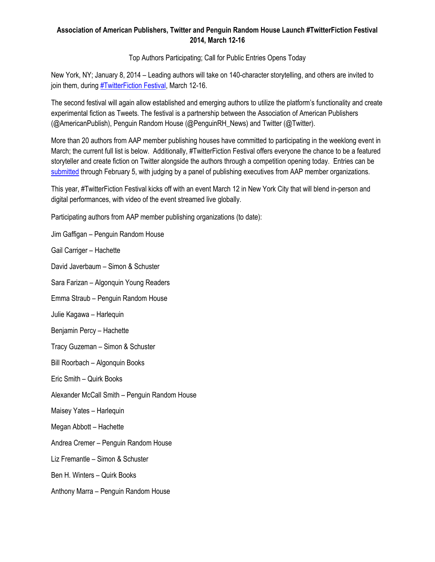# **Association of American Publishers, Twitter and Penguin Random House Launch #TwitterFiction Festival 2014, March 12-16**

Top Authors Participating; Call for Public Entries Opens Today

New York, NY; January 8, 2014 – Leading authors will take on 140-character storytelling, and others are invited to join them, during [#TwitterFiction Festival,](http://twitterfictionfestival.com/) March 12-16.

The second festival will again allow established and emerging authors to utilize the platform's functionality and create experimental fiction as Tweets. The festival is a partnership between the Association of American Publishers (@AmericanPublish), Penguin Random House (@PenguinRH\_News) and Twitter (@Twitter).

More than 20 authors from AAP member publishing houses have committed to participating in the weeklong event in March; the current full list is below. Additionally, #TwitterFiction Festival offers everyone the chance to be a featured storyteller and create fiction on Twitter alongside the authors through a competition opening today. Entries can be [submitted](http://twitterfictionfestival.com/submit) through February 5, with judging by a panel of publishing executives from AAP member organizations.

This year, #TwitterFiction Festival kicks off with an event March 12 in New York City that will blend in-person and digital performances, with video of the event streamed live globally.

Participating authors from AAP member publishing organizations (to date):

Jim Gaffigan – Penguin Random House

Gail Carriger – Hachette

David Javerbaum – Simon & Schuster

Sara Farizan – Algonquin Young Readers

Emma Straub – Penguin Random House

Julie Kagawa – Harlequin

Benjamin Percy – Hachette

Tracy Guzeman – Simon & Schuster

Bill Roorbach – Algonquin Books

Eric Smith – Quirk Books

Alexander McCall Smith – Penguin Random House

Maisey Yates – Harlequin

Megan Abbott – Hachette

Andrea Cremer – Penguin Random House

Liz Fremantle – Simon & Schuster

Ben H. Winters – Quirk Books

Anthony Marra – Penguin Random House